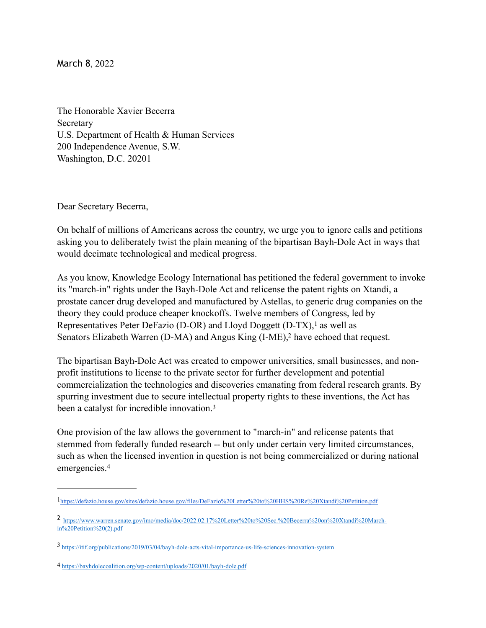March 8, 2022

The Honorable Xavier Becerra Secretary U.S. Department of Health & Human Services 200 Independence Avenue, S.W. Washington, D.C. 20201

Dear Secretary Becerra,

On behalf of millions of Americans across the country, we urge you to ignore calls and petitions asking you to deliberately twist the plain meaning of the bipartisan Bayh-Dole Act in ways that would decimate technological and medical progress.

As you know, Knowledge Ecology International has petitioned the federal government to invoke its "march-in" rights under the Bayh-Dole Act and relicense the patent rights on Xtandi, a prostate cancer drug developed and manufactured by Astellas, to generic drug companies on the theory they could produce cheaper knockoffs. Twelve members of Congress, led by RepresentativesPeter DeFazio (D-OR) and Lloyd Doggett (D-TX), $<sup>1</sup>$  $<sup>1</sup>$  $<sup>1</sup>$  as well as</sup> Senators Elizabeth Warren (D-MA) and Angus King (I-ME)[,](#page-0-1)<sup>[2](#page-0-1)</sup> have echoed that request.

<span id="page-0-5"></span><span id="page-0-4"></span>The bipartisan Bayh-Dole Act was created to empower universities, small businesses, and nonprofit institutions to license to the private sector for further development and potential commercialization the technologies and discoveries emanating from federal research grants. By spurring investment due to secure intellectual property rights to these inventions, the Act has been a catalyst for incredible innovation.[3](#page-0-2)

<span id="page-0-7"></span><span id="page-0-6"></span>One provision of the law allows the government to "march-in" and relicense patents that stemmed from federally funded research -- but only under certain very limited circumstances, such as when the licensed invention in question is not being commercialized or during national emergencies.[4](#page-0-3)

<span id="page-0-0"></span>[<sup>1</sup>](#page-0-4)[https://defazio.house.gov/sites/defazio.house.gov/files/DeFazio%20Letter%20to%20HHS%20Re%20Xtandi%20Petition.pdf](https://defazio.house.gov/sites/defazio.house.gov/files/DeFazio%2520Letter%2520to%2520HHS%2520Re%2520Xtandi%2520Petition.pdf)

<span id="page-0-1"></span>[https://www.warren.senate.gov/imo/media/doc/2022.02.17%20Letter%20to%20Sec.%20Becerra%20on%20Xtandi%20March-](https://www.warren.senate.gov/imo/media/doc/2022.02.17%20Letter%20to%20Sec.%20Becerra%20on%20Xtandi%20March-in%20Petition%20(2).pdf) [2](#page-0-5) [in%20Petition%20\(2\).pdf](https://www.warren.senate.gov/imo/media/doc/2022.02.17%20Letter%20to%20Sec.%20Becerra%20on%20Xtandi%20March-in%20Petition%20(2).pdf)

<span id="page-0-2"></span>[<sup>3</sup>](#page-0-6) <https://itif.org/publications/2019/03/04/bayh-dole-acts-vital-importance-us-life-sciences-innovation-system>

<span id="page-0-3"></span>[<sup>4</sup>](#page-0-7) <https://bayhdolecoalition.org/wp-content/uploads/2020/01/bayh-dole.pdf>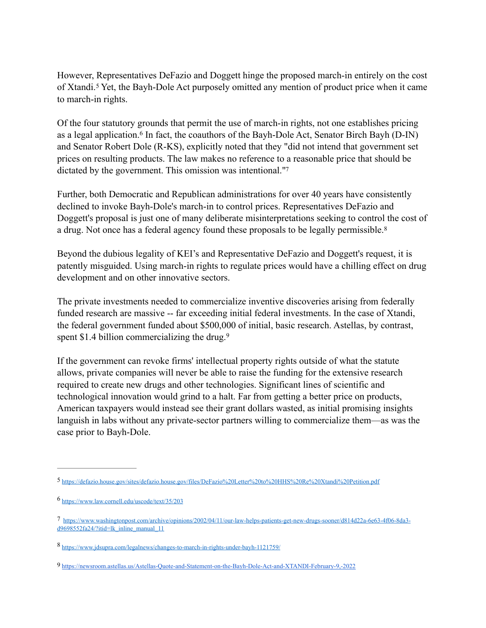<span id="page-1-5"></span>However, Representatives DeFazio and Doggett hinge the proposed march-in entirely on the cost ofXtandi.<sup>[5](#page-1-0)</sup> Yet, the Bayh-Dole Act purposely omitted any mention of product price when it came to march-in rights.

<span id="page-1-6"></span>Of the four statutory grounds that permit the use of march-in rights, not one establishes pricing asa legal application.<sup>[6](#page-1-1)</sup> In fact, the coauthors of the Bayh-Dole Act, Senator Birch Bayh (D-IN) and Senator Robert Dole (R-KS), explicitly noted that they "did not intend that government set prices on resulting products. The law makes no reference to a reasonable price that should be dictated by the government. This omission was intentional.["7](#page-1-2)

<span id="page-1-7"></span>Further, both Democratic and Republican administrations for over 40 years have consistently declined to invoke Bayh-Dole's march-in to control prices. Representatives DeFazio and Doggett's proposal is just one of many deliberate misinterpretations seeking to control the cost of a drug. Not once has a federal agency found these proposals to be legally permissible.<sup>[8](#page-1-3)</sup>

<span id="page-1-8"></span>Beyond the dubious legality of KEI's and Representative DeFazio and Doggett's request, it is patently misguided. Using march-in rights to regulate prices would have a chilling effect on drug development and on other innovative sectors.

The private investments needed to commercialize inventive discoveries arising from federally funded research are massive -- far exceeding initial federal investments. In the case of Xtandi, the federal government funded about \$500,000 of initial, basic research. Astellas, by contrast, spent \$1.4 billion commercializing the drug.<sup>9</sup>

<span id="page-1-9"></span>If the government can revoke firms' intellectual property rights outside of what the statute allows, private companies will never be able to raise the funding for the extensive research required to create new drugs and other technologies. Significant lines of scientific and technological innovation would grind to a halt. Far from getting a better price on products, American taxpayers would instead see their grant dollars wasted, as initial promising insights languish in labs without any private-sector partners willing to commercialize them—as was the case prior to Bayh-Dole.

<span id="page-1-0"></span>[<sup>5</sup>](#page-1-5) [https://defazio.house.gov/sites/defazio.house.gov/files/DeFazio%20Letter%20to%20HHS%20Re%20Xtandi%20Petition.pdf](https://defazio.house.gov/sites/defazio.house.gov/files/DeFazio%2520Letter%2520to%2520HHS%2520Re%2520Xtandi%2520Petition.pdf)

<span id="page-1-1"></span><https://www.law.cornell.edu/uscode/text/35/203> [6](#page-1-6)

<span id="page-1-2"></span>[<sup>7</sup>](#page-1-7) [https://www.washingtonpost.com/archive/opinions/2002/04/11/our-law-helps-patients-get-new-drugs-sooner/d814d22a-6e63-4f06-8da3](https://www.washingtonpost.com/archive/opinions/2002/04/11/our-law-helps-patients-get-new-drugs-sooner/d814d22a-6e63-4f06-8da3-d9698552fa24/?itid=lk_inline_manual_11) [d9698552fa24/?itid=lk\\_inline\\_manual\\_11](https://www.washingtonpost.com/archive/opinions/2002/04/11/our-law-helps-patients-get-new-drugs-sooner/d814d22a-6e63-4f06-8da3-d9698552fa24/?itid=lk_inline_manual_11)

<span id="page-1-3"></span><https://www.jdsupra.com/legalnews/changes-to-march-in-rights-under-bayh-1121759/> [8](#page-1-8)

<span id="page-1-4"></span>[<sup>9</sup>](#page-1-9) <https://newsroom.astellas.us/Astellas-Quote-and-Statement-on-the-Bayh-Dole-Act-and-XTANDI-February-9,-2022>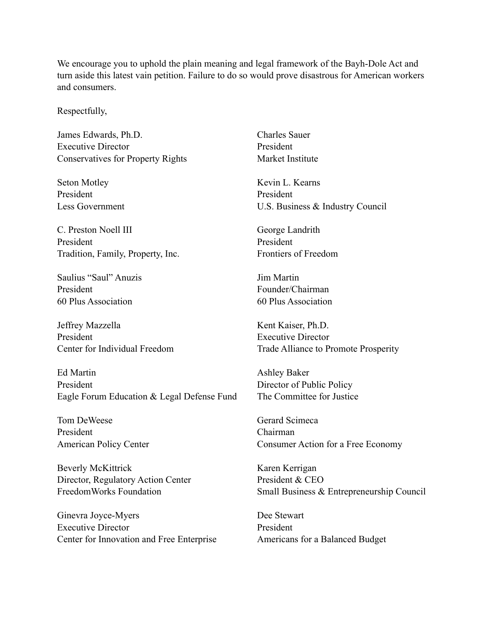We encourage you to uphold the plain meaning and legal framework of the Bayh-Dole Act and turn aside this latest vain petition. Failure to do so would prove disastrous for American workers and consumers.

Respectfully,

James Edwards, Ph.D. Charles Sauer Executive Director President Conservatives for Property Rights Market Institute

President President

C. Preston Noell III George Landrith President President Tradition, Family, Property, Inc. Frontiers of Freedom

Saulius "Saul" Anuzis Jim Martin President Founder/Chairman 60 Plus Association 60 Plus Association

Jeffrey Mazzella Kent Kaiser, Ph.D. President Executive Director

Ed Martin Ashley Baker President Director of Public Policy Eagle Forum Education & Legal Defense Fund The Committee for Justice

Tom DeWeese Gerard Scimeca President Chairman

Beverly McKittrick Karen Kerrigan Director, Regulatory Action Center President & CEO

Ginevra Joyce-Myers Dee Stewart Executive Director President Center for Innovation and Free Enterprise Americans for a Balanced Budget

Seton Motley Kevin L. Kearns Less Government U.S. Business & Industry Council

Center for Individual Freedom Trade Alliance to Promote Prosperity

American Policy Center Consumer Action for a Free Economy

FreedomWorks Foundation Small Business & Entrepreneurship Council